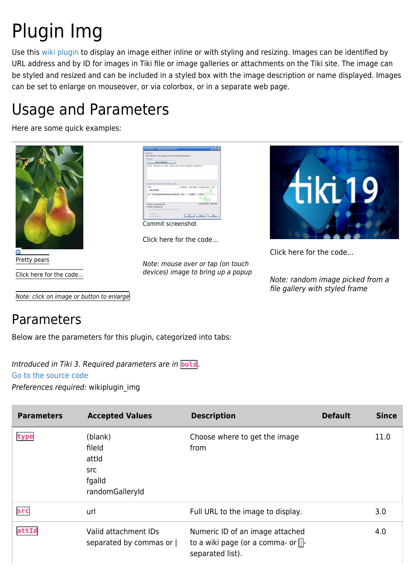# Plugin Img

Use this [wiki plugin](https://doc.tiki.org/wiki%20plugin) to display an image either inline or with styling and resizing. Images can be identified by URL address and by ID for images in Tiki file or image galleries or attachments on the Tiki site. The image can be styled and resized and can be included in a styled box with the image description or name displayed. Images can be set to enlarge on mouseover, or via colorbox, or in a separate web page.

## Usage and Parameters

Here are some quick examples:



Click here for the code...

Note: click on image or button to enlarge



Click here for the code...

Note: mouse over or tap (on touch devices) image to bring up a popup



Click here for the code...

Note: random image picked from a file gallery with styled frame

### Parameters

Below are the parameters for this plugin, categorized into tabs:

Introduced in Tiki 3. Required parameters are in **bold**. [Go to the source code](https://gitlab.com/tikiwiki/tiki/-/blob/master/lib/wiki-plugins/wikiplugin_img.php)

Preferences required: wikiplugin\_img

| <b>Parameters</b> | <b>Accepted Values</b>                                                | <b>Description</b>                                                                             | <b>Default</b> | <b>Since</b> |
|-------------------|-----------------------------------------------------------------------|------------------------------------------------------------------------------------------------|----------------|--------------|
| type              | (blank)<br>fileld<br>attid<br><b>Src</b><br>fgalld<br>randomGalleryId | Choose where to get the image<br>from                                                          |                | 11.0         |
| src               | url                                                                   | Full URL to the image to display.                                                              |                | 3.0          |
| attId             | Valid attachment IDs<br>separated by commas or                        | Numeric ID of an image attached<br>to a wiki page (or a comma- or $\Box$ -<br>separated list). |                | 4.0          |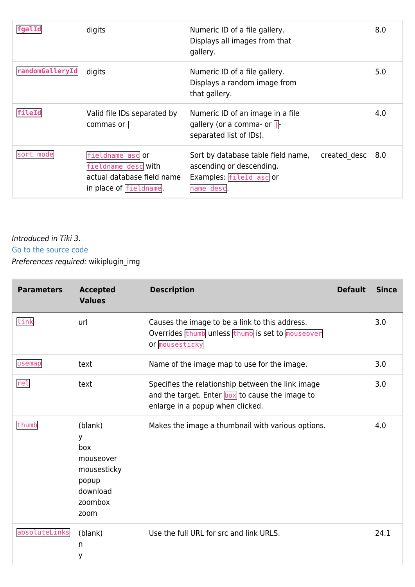| <b> fgalId</b>  | digits                                                                                         | Numeric ID of a file gallery.<br>Displays all images from that<br>gallery.                             |              | 8.0   |
|-----------------|------------------------------------------------------------------------------------------------|--------------------------------------------------------------------------------------------------------|--------------|-------|
| randomGalleryId | digits                                                                                         | Numeric ID of a file gallery.<br>Displays a random image from<br>that gallery.                         |              | 5.0   |
| fileId          | Valid file IDs separated by<br>commas or                                                       | Numeric ID of an image in a file<br>gallery (or a comma- or $\Box$ -<br>separated list of IDs).        |              | 4.0   |
| sort mode       | fieldname ascor<br>fieldname desc with<br>actual database field name<br>in place of fieldname. | Sort by database table field name,<br>ascending or descending.<br>Examples: fileId asc or<br>name desc | created desc | - 8.0 |

#### [Go to the source code](https://gitlab.com/tikiwiki/tiki/-/blob/master/lib/wiki-plugins/wikiplugin_img.php)

Preferences required: wikiplugin\_img

| <b>Parameters</b> | <b>Accepted</b><br><b>Values</b>                                                        | <b>Description</b>                                                                                                                       | <b>Default</b> | <b>Since</b> |
|-------------------|-----------------------------------------------------------------------------------------|------------------------------------------------------------------------------------------------------------------------------------------|----------------|--------------|
| link              | url                                                                                     | Causes the image to be a link to this address.<br>Overrides thumb unless thumb is set to mouseover<br>or mousesticky                     |                | 3.0          |
| usemap            | text                                                                                    | Name of the image map to use for the image.                                                                                              |                | 3.0          |
| rel               | text                                                                                    | Specifies the relationship between the link image<br>and the target. Enter box to cause the image to<br>enlarge in a popup when clicked. |                | 3.0          |
| thumb             | (blank)<br>У<br>box<br>mouseover<br>mousesticky<br>popup<br>download<br>zoombox<br>zoom | Makes the image a thumbnail with various options.                                                                                        |                | 4.0          |
| absoluteLinks     | (blank)<br>n<br>y                                                                       | Use the full URL for src and link URLS.                                                                                                  |                | 24.1         |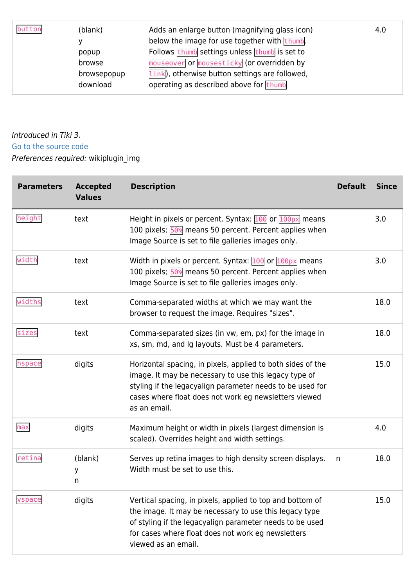| button | (blank)     | Adds an enlarge button (magnifying glass icon)                     | 4.0 |
|--------|-------------|--------------------------------------------------------------------|-----|
|        |             | below the image for use together with thumb.                       |     |
|        | popup       | Follows thumb settings unless thumb is set to                      |     |
|        | browse      | mouseover or mousesticky (or overridden by                         |     |
|        | browsepopup | $\overline{\text{link}}$ , otherwise button settings are followed, |     |
|        | download    | operating as described above for thumb                             |     |

#### [Go to the source code](https://gitlab.com/tikiwiki/tiki/-/blob/master/lib/wiki-plugins/wikiplugin_img.php)

Preferences required: wikiplugin\_img

| <b>Parameters</b> | <b>Accepted</b><br><b>Values</b> | <b>Description</b>                                                                                                                                                                                                                                           | <b>Default</b> | <b>Since</b> |
|-------------------|----------------------------------|--------------------------------------------------------------------------------------------------------------------------------------------------------------------------------------------------------------------------------------------------------------|----------------|--------------|
| height            | text                             | Height in pixels or percent. Syntax: $100$ or $100px$ means<br>100 pixels; 50% means 50 percent. Percent applies when<br>Image Source is set to file galleries images only.                                                                                  |                | 3.0          |
| width             | text                             | Width in pixels or percent. Syntax: $100$ or $100px$ means<br>100 pixels; 50% means 50 percent. Percent applies when<br>Image Source is set to file galleries images only.                                                                                   |                | 3.0          |
| widths            | text                             | Comma-separated widths at which we may want the<br>browser to request the image. Requires "sizes".                                                                                                                                                           |                | 18.0         |
| sizes             | text                             | Comma-separated sizes (in vw, em, px) for the image in<br>xs, sm, md, and Ig layouts. Must be 4 parameters.                                                                                                                                                  |                | 18.0         |
| hspace            | digits                           | Horizontal spacing, in pixels, applied to both sides of the<br>image. It may be necessary to use this legacy type of<br>styling if the legacyalign parameter needs to be used for<br>cases where float does not work eg newsletters viewed<br>as an email.   |                | 15.0         |
| max               | digits                           | Maximum height or width in pixels (largest dimension is<br>scaled). Overrides height and width settings.                                                                                                                                                     |                | 4.0          |
| retina            | (blank)<br>У<br>n                | Serves up retina images to high density screen displays.<br>Width must be set to use this.                                                                                                                                                                   | n              | 18.0         |
| vspace            | digits                           | Vertical spacing, in pixels, applied to top and bottom of<br>the image. It may be necessary to use this legacy type<br>of styling if the legacyalign parameter needs to be used<br>for cases where float does not work eg newsletters<br>viewed as an email. |                | 15.0         |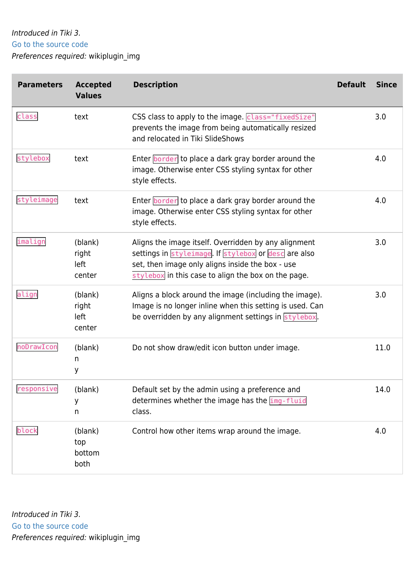#### [Go to the source code](https://gitlab.com/tikiwiki/tiki/-/blob/master/lib/wiki-plugins/wikiplugin_img.php)

Preferences required: wikiplugin\_img

| <b>Parameters</b> | <b>Accepted</b><br><b>Values</b>   | <b>Description</b>                                                                                                                                                                                                      | <b>Default</b> | <b>Since</b> |
|-------------------|------------------------------------|-------------------------------------------------------------------------------------------------------------------------------------------------------------------------------------------------------------------------|----------------|--------------|
| class             | text                               | CSS class to apply to the image. class="fixedSize"<br>prevents the image from being automatically resized<br>and relocated in Tiki SlideShows                                                                           |                | 3.0          |
| stylebox          | text                               | Enter border to place a dark gray border around the<br>image. Otherwise enter CSS styling syntax for other<br>style effects.                                                                                            |                | 4.0          |
| styleimage        | text                               | Enter border to place a dark gray border around the<br>image. Otherwise enter CSS styling syntax for other<br>style effects.                                                                                            |                | 4.0          |
| imalign           | (blank)<br>right<br>left<br>center | Aligns the image itself. Overridden by any alignment<br>settings in styleimage. If stylebox or desc are also<br>set, then image only aligns inside the box - use<br>stylebox in this case to align the box on the page. |                | 3.0          |
| align             | (blank)<br>right<br>left<br>center | Aligns a block around the image (including the image).<br>Image is no longer inline when this setting is used. Can<br>be overridden by any alignment settings in stylebox.                                              |                | 3.0          |
| noDrawIcon        | (blank)<br>n<br>У                  | Do not show draw/edit icon button under image.                                                                                                                                                                          |                | 11.0         |
| responsive        | (blank)<br>У<br>n                  | Default set by the admin using a preference and<br>determines whether the image has the img-fluid<br>class.                                                                                                             |                | 14.0         |
| block             | (blank)<br>top<br>bottom<br>both   | Control how other items wrap around the image.                                                                                                                                                                          |                | 4.0          |

Introduced in Tiki 3. [Go to the source code](https://gitlab.com/tikiwiki/tiki/-/blob/master/lib/wiki-plugins/wikiplugin_img.php) Preferences required: wikiplugin\_img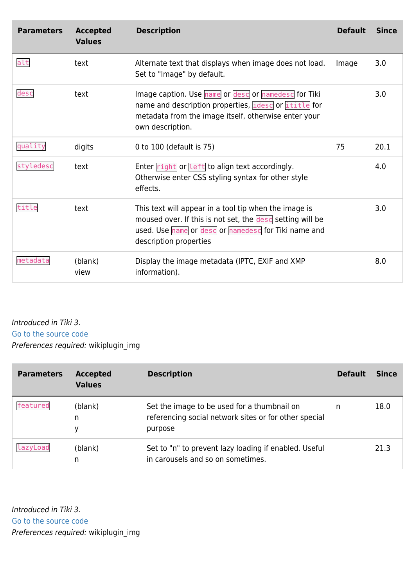| <b>Parameters</b> | <b>Accepted</b><br><b>Values</b> | <b>Description</b>                                                                                                                                                                                   | <b>Default</b> | <b>Since</b> |
|-------------------|----------------------------------|------------------------------------------------------------------------------------------------------------------------------------------------------------------------------------------------------|----------------|--------------|
| alt               | text                             | Alternate text that displays when image does not load.<br>Set to "Image" by default.                                                                                                                 | Image          | 3.0          |
| desc              | text                             | Image caption. Use name or desc or namedesc for Tiki<br>name and description properties, idesc or ititle for<br>metadata from the image itself, otherwise enter your<br>own description.             |                | 3.0          |
| quality           | digits                           | 0 to 100 (default is 75)                                                                                                                                                                             | 75             | 20.1         |
| styledesc         | text                             | Enter $right$ or $left$ to align text accordingly.<br>Otherwise enter CSS styling syntax for other style<br>effects.                                                                                 |                | 4.0          |
| title             | text                             | This text will appear in a tool tip when the image is<br>moused over. If this is not set, the desc setting will be<br>used. Use name or desc or namedesc for Tiki name and<br>description properties |                | 3.0          |
| metadata          | (blank)<br>view                  | Display the image metadata (IPTC, EXIF and XMP<br>information).                                                                                                                                      |                | 8.0          |

[Go to the source code](https://gitlab.com/tikiwiki/tiki/-/blob/master/lib/wiki-plugins/wikiplugin_img.php)

Preferences required: wikiplugin\_img

| <b>Parameters</b> | <b>Accepted</b><br><b>Values</b> | <b>Description</b>                                                                                              | <b>Default</b> | <b>Since</b> |
|-------------------|----------------------------------|-----------------------------------------------------------------------------------------------------------------|----------------|--------------|
| featured          | (blank)<br>n<br>у                | Set the image to be used for a thumbnail on<br>referencing social network sites or for other special<br>purpose | n              | 18.0         |
| lazyLoad          | (blank)<br>n                     | Set to "n" to prevent lazy loading if enabled. Useful<br>in carousels and so on sometimes.                      |                | 21.3         |

Introduced in Tiki 3. [Go to the source code](https://gitlab.com/tikiwiki/tiki/-/blob/master/lib/wiki-plugins/wikiplugin_img.php) Preferences required: wikiplugin\_img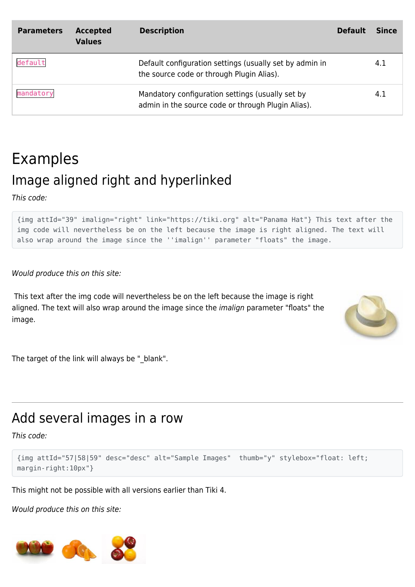| <b>Parameters</b> | <b>Accepted</b><br><b>Values</b> | <b>Description</b>                                                                                     | <b>Default</b> | <b>Since</b> |
|-------------------|----------------------------------|--------------------------------------------------------------------------------------------------------|----------------|--------------|
| default           |                                  | Default configuration settings (usually set by admin in<br>the source code or through Plugin Alias).   |                | 4.1          |
| mandatory         |                                  | Mandatory configuration settings (usually set by<br>admin in the source code or through Plugin Alias). |                | 4.1          |

## Examples Image aligned right and hyperlinked

This code:

{img attId="39" imalign="right" link="https://tiki.org" alt="Panama Hat"} This text after the img code will nevertheless be on the left because the image is right aligned. The text will also wrap around the image since the ''imalign'' parameter "floats" the image.

Would produce this on this site:

 This text after the img code will nevertheless be on the left because the image is right aligned. The text will also wrap around the image since the imalign parameter "floats" the image.



The target of the link will always be "\_blank".

### Add several images in a row

This code:

```
{img attId="57|58|59" desc="desc" alt="Sample Images" thumb="y" stylebox="float: left;
margin-right:10px"}
```
This might not be possible with all versions earlier than Tiki 4.

Would produce this on this site:

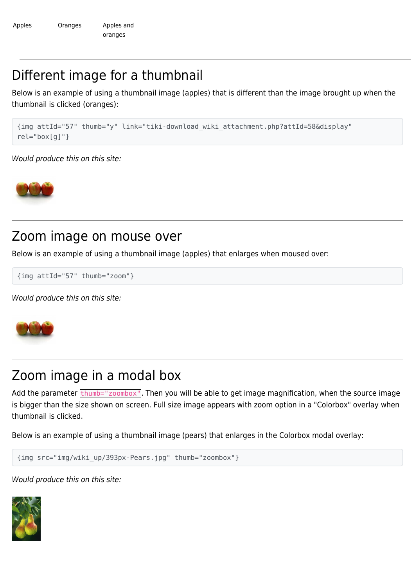### Different image for a thumbnail

Below is an example of using a thumbnail image (apples) that is different than the image brought up when the thumbnail is clicked (oranges):

```
{img attId="57" thumb="y" link="tiki-download_wiki_attachment.php?attId=58&display"
rel="box[g]"}
```
Would produce this on this site:



#### Zoom image on mouse over

Below is an example of using a thumbnail image (apples) that enlarges when moused over:

{img attId="57" thumb="zoom"}

Would produce this on this site:



### Zoom image in a modal box

Add the parameter  $t$  thumb="zoombox". Then you will be able to get image magnification, when the source image is bigger than the size shown on screen. Full size image appears with zoom option in a "Colorbox" overlay when thumbnail is clicked.

Below is an example of using a thumbnail image (pears) that enlarges in the Colorbox modal overlay:

```
{img src="img/wiki_up/393px-Pears.jpg" thumb="zoombox"}
```
Would produce this on this site: